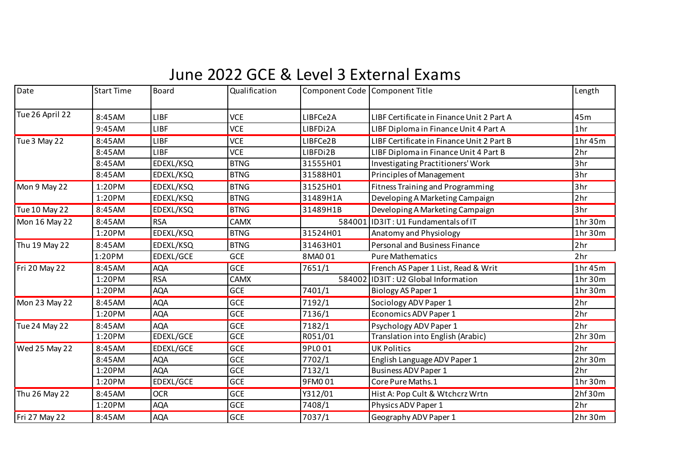## June 2022 GCE & Level 3 External Exams

| Date                 | <b>Start Time</b> | Board       | Qualification |          | Component Code Component Title            | Length          |
|----------------------|-------------------|-------------|---------------|----------|-------------------------------------------|-----------------|
| Tue 26 April 22      | 8:45AM            | <b>LIBF</b> | <b>VCE</b>    | LIBFCe2A | LIBF Certificate in Finance Unit 2 Part A | 45m             |
|                      | 9:45AM            | LIBF        | <b>VCE</b>    | LIBFDi2A | LIBF Diploma in Finance Unit 4 Part A     | 1 <sub>hr</sub> |
| Tue 3 May 22         | 8:45AM            | <b>LIBF</b> | <b>VCE</b>    | LIBFCe2B | LIBF Certificate in Finance Unit 2 Part B | 1hr 45m         |
|                      | 8:45AM            | <b>LIBF</b> | <b>VCE</b>    | LIBFDi2B | LIBF Diploma in Finance Unit 4 Part B     | 2 <sub>hr</sub> |
|                      | 8:45AM            | EDEXL/KSQ   | <b>BTNG</b>   | 31555H01 | <b>Investigating Practitioners' Work</b>  | 3hr             |
|                      | 8:45AM            | EDEXL/KSQ   | <b>BTNG</b>   | 31588H01 | Principles of Management                  | 3hr             |
| Mon 9 May 22         | 1:20PM            | EDEXL/KSQ   | <b>BTNG</b>   | 31525H01 | <b>Fitness Training and Programming</b>   | 3hr             |
|                      | 1:20PM            | EDEXL/KSQ   | <b>BTNG</b>   | 31489H1A | Developing A Marketing Campaign           | 2hr             |
| Tue 10 May 22        | 8:45AM            | EDEXL/KSQ   | <b>BTNG</b>   | 31489H1B | Developing A Marketing Campaign           | 3hr             |
| Mon 16 May 22        | 8:45AM            | <b>RSA</b>  | <b>CAMX</b>   | 584001   | ID3IT: U1 Fundamentals of IT              | 1hr 30m         |
|                      | 1:20PM            | EDEXL/KSQ   | <b>BTNG</b>   | 31524H01 | Anatomy and Physiology                    | 1hr 30m         |
| Thu 19 May 22        | 8:45AM            | EDEXL/KSQ   | <b>BTNG</b>   | 31463H01 | Personal and Business Finance             | 2hr             |
|                      | 1:20PM            | EDEXL/GCE   | GCE           | 8MA001   | <b>Pure Mathematics</b>                   | 2hr             |
| Fri 20 May 22        | 8:45AM            | <b>AQA</b>  | GCE           | 7651/1   | French AS Paper 1 List, Read & Writ       | 1hr 45m         |
|                      | 1:20PM            | <b>RSA</b>  | <b>CAMX</b>   | 584002   | ID3IT: U2 Global Information              | 1hr 30m         |
|                      | 1:20PM            | <b>AQA</b>  | <b>GCE</b>    | 7401/1   | Biology AS Paper 1                        | 1hr 30m         |
| Mon 23 May 22        | 8:45AM            | <b>AQA</b>  | GCE           | 7192/1   | Sociology ADV Paper 1                     | 2 <sub>hr</sub> |
|                      | 1:20PM            | <b>AQA</b>  | GCE           | 7136/1   | Economics ADV Paper 1                     | 2 <sub>hr</sub> |
| <b>Tue 24 May 22</b> | 8:45AM            | <b>AQA</b>  | GCE           | 7182/1   | Psychology ADV Paper 1                    | 2 <sub>hr</sub> |
|                      | 1:20PM            | EDEXL/GCE   | <b>GCE</b>    | R051/01  | Translation into English (Arabic)         | 2hr 30m         |
| Wed 25 May 22        | 8:45AM            | EDEXL/GCE   | GCE           | 9PL001   | <b>UK Politics</b>                        | 2hr             |
|                      | 8:45AM            | <b>AQA</b>  | GCE           | 7702/1   | English Language ADV Paper 1              | 2hr 30m         |
|                      | 1:20PM            | <b>AQA</b>  | GCE           | 7132/1   | <b>Business ADV Paper 1</b>               | 2hr             |
|                      | 1:20PM            | EDEXL/GCE   | GCE           | 9FM001   | Core Pure Maths.1                         | 1hr 30m         |
| Thu 26 May 22        | 8:45AM            | <b>OCR</b>  | GCE           | Y312/01  | Hist A: Pop Cult & Wtchcrz Wrtn           | 2hf30m          |
|                      | 1:20PM            | <b>AQA</b>  | GCE           | 7408/1   | Physics ADV Paper 1                       | 2 <sub>hr</sub> |
| Fri 27 May 22        | 8:45AM            | <b>AQA</b>  | GCE           | 7037/1   | Geography ADV Paper 1                     | 2hr 30m         |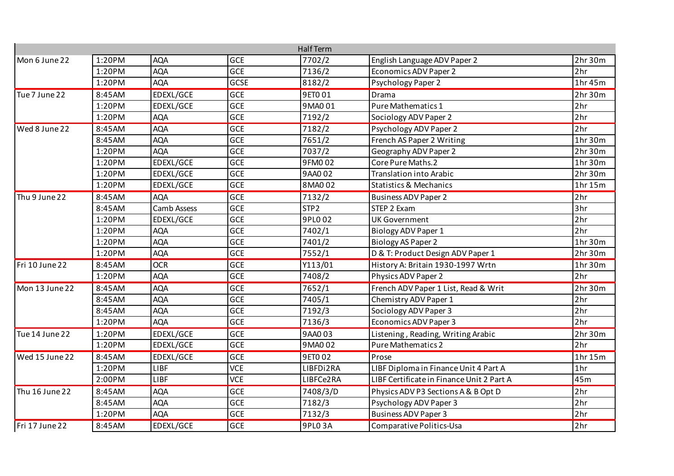|                |        |             |             | <b>Half Term</b> |                                           |                 |
|----------------|--------|-------------|-------------|------------------|-------------------------------------------|-----------------|
| Mon 6 June 22  | 1:20PM | <b>AQA</b>  | <b>GCE</b>  | 7702/2           | English Language ADV Paper 2              | 2hr 30m         |
|                | 1:20PM | <b>AQA</b>  | <b>GCE</b>  | 7136/2           | <b>Economics ADV Paper 2</b>              | 2hr             |
|                | 1:20PM | <b>AQA</b>  | <b>GCSE</b> | 8182/2           | <b>Psychology Paper 2</b>                 | 1hr45m          |
| Tue 7 June 22  | 8:45AM | EDEXL/GCE   | <b>GCE</b>  | 9ET0 01          | Drama                                     | 2hr 30m         |
|                | 1:20PM | EDEXL/GCE   | <b>GCE</b>  | 9MA001           | <b>Pure Mathematics 1</b>                 | 2hr             |
|                | 1:20PM | <b>AQA</b>  | <b>GCE</b>  | 7192/2           | Sociology ADV Paper 2                     | 2hr             |
| Wed 8 June 22  | 8:45AM | <b>AQA</b>  | <b>GCE</b>  | 7182/2           | Psychology ADV Paper 2                    | 2hr             |
|                | 8:45AM | <b>AQA</b>  | <b>GCE</b>  | 7651/2           | French AS Paper 2 Writing                 | 1hr 30m         |
|                | 1:20PM | <b>AQA</b>  | <b>GCE</b>  | 7037/2           | Geography ADV Paper 2                     | 2hr30m          |
|                | 1:20PM | EDEXL/GCE   | <b>GCE</b>  | 9FM002           | Core Pure Maths.2                         | 1hr 30m         |
|                | 1:20PM | EDEXL/GCE   | <b>GCE</b>  | 9AA002           | <b>Translation into Arabic</b>            | 2hr 30m         |
|                | 1:20PM | EDEXL/GCE   | <b>GCE</b>  | 8MA002           | <b>Statistics &amp; Mechanics</b>         | 1hr 15m         |
| Thu 9 June 22  | 8:45AM | <b>AQA</b>  | <b>GCE</b>  | 7132/2           | <b>Business ADV Paper 2</b>               | 2hr             |
|                | 8:45AM | Camb Assess | <b>GCE</b>  | STP <sub>2</sub> | STEP 2 Exam                               | 3hr             |
|                | 1:20PM | EDEXL/GCE   | <b>GCE</b>  | 9PL002           | <b>UK Government</b>                      | 2hr             |
|                | 1:20PM | <b>AQA</b>  | <b>GCE</b>  | 7402/1           | <b>Biology ADV Paper 1</b>                | 2hr             |
|                | 1:20PM | <b>AQA</b>  | <b>GCE</b>  | 7401/2           | <b>Biology AS Paper 2</b>                 | 1hr 30m         |
|                | 1:20PM | <b>AQA</b>  | <b>GCE</b>  | 7552/1           | D & T: Product Design ADV Paper 1         | 2hr 30m         |
| Fri 10 June 22 | 8:45AM | <b>OCR</b>  | <b>GCE</b>  | Y113/01          | History A: Britain 1930-1997 Wrtn         | 1hr30m          |
|                | 1:20PM | <b>AQA</b>  | <b>GCE</b>  | 7408/2           | Physics ADV Paper 2                       | 2hr             |
| Mon 13 June 22 | 8:45AM | <b>AQA</b>  | <b>GCE</b>  | 7652/1           | French ADV Paper 1 List, Read & Writ      | 2hr 30m         |
|                | 8:45AM | <b>AQA</b>  | <b>GCE</b>  | 7405/1           | Chemistry ADV Paper 1                     | 2hr             |
|                | 8:45AM | <b>AQA</b>  | <b>GCE</b>  | 7192/3           | Sociology ADV Paper 3                     | 2hr             |
|                | 1:20PM | <b>AQA</b>  | <b>GCE</b>  | 7136/3           | Economics ADV Paper 3                     | 2hr             |
| Tue 14 June 22 | 1:20PM | EDEXL/GCE   | <b>GCE</b>  | 9AA003           | Listening, Reading, Writing Arabic        | 2hr30m          |
|                | 1:20PM | EDEXL/GCE   | <b>GCE</b>  | 9MA002           | <b>Pure Mathematics 2</b>                 | 2hr             |
| Wed 15 June 22 | 8:45AM | EDEXL/GCE   | <b>GCE</b>  | 9ET002           | Prose                                     | 1hr 15m         |
|                | 1:20PM | LIBF        | <b>VCE</b>  | LIBFDi2RA        | LIBF Diploma in Finance Unit 4 Part A     | 1 <sub>hr</sub> |
|                | 2:00PM | LIBF        | <b>VCE</b>  | LIBFCe2RA        | LIBF Certificate in Finance Unit 2 Part A | 45m             |
| Thu 16 June 22 | 8:45AM | <b>AQA</b>  | <b>GCE</b>  | 7408/3/D         | Physics ADV P3 Sections A & B Opt D       | 2hr             |
|                | 8:45AM | <b>AQA</b>  | <b>GCE</b>  | 7182/3           | Psychology ADV Paper 3                    | 2hr             |
|                | 1:20PM | <b>AQA</b>  | <b>GCE</b>  | 7132/3           | <b>Business ADV Paper 3</b>               | 2hr             |
| Fri 17 June 22 | 8:45AM | EDEXL/GCE   | <b>GCE</b>  | 9PLO3A           | Comparative Politics-Usa                  | 2hr             |